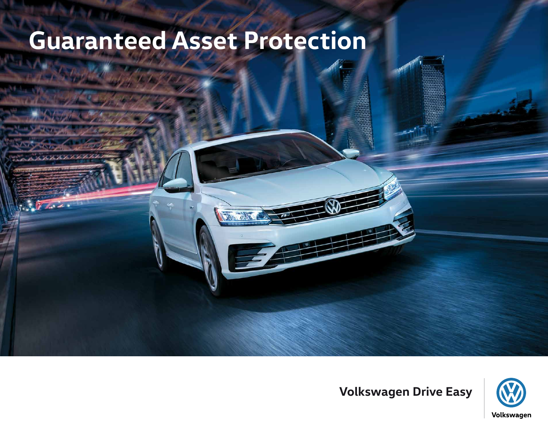# **Guaranteed Asset Protection**



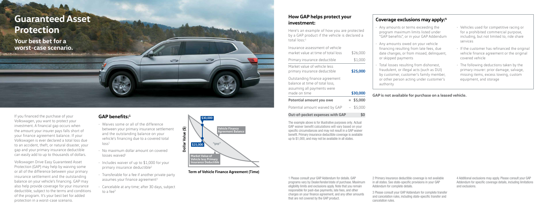If you financed the purchase of your Volkswagen, you want to protect your investment. A financial gap occurs when the amount your insurer pays falls short of your finance agreement balance. If your Volkswagen is ever declared a total loss due to an accident, theft, or natural disaster, your gap and your primary insurance deductible can easily add to up to thousands of dollars.

• Waives some or all of the difference between your primary insurance settlement and the outstanding balance on your vehicle's financing due to a covered total  $\log s^1$ 

 $\Rightarrow$ 

- No maximum dollar amount on covered  $losses$  waived $1$
- Includes waiver of up to \$1,000 for your primary insurance deductible<sup>2</sup>
- Transferable for a fee if another private party assumes your finance agreement<sup>3</sup>
- Cancelable at any time; after 30 days, subject to a fee<sup>3</sup>

Volkswagen Drive Easy Guaranteed Asset Protection (GAP) may help by waiving some or all of the difference between your primary insurance settlement and the outstanding balance on your vehicle's financing. GAP may also help provide coverage for your insurance deductible, subject to the terms and conditions of the program. It's your best bet for added protection in a worst-case scenario.

### **GAP benefits:1**

**Term of Vehicle Finance Agreement (Time)**



1 Please consult your GAP Addendum for details. GAP programs vary by Dealer/lender/state of purchase. Maximum eligibility limits and exclusions apply. Note that you remain responsible for past-due payments, late fees, and other charges on your finance agreement, and any other amounts that are not covered by the GAP product.

| эd |  |
|----|--|
| a  |  |
|    |  |

- 
- 
- 
- 
- 
- 

- 2 Primary insurance deductible coverage is not available in all states. See state-specific provisions in your GAP Addendum for complete details. 3 Please consult your GAP Addendum for complete transfer
- and cancelation rules, including state-specific transfer and cancelation rules.

4 Additional exclusions may apply. Please consult your GAP Addendum for specific coverage details, including limitations and exclusions.

### **How GAP helps protect your investment:**

Here's an example of how you are protecte by a GAP product if the vehicle is declared total loss:1

| Insurance assessment of vehicle<br>market value at time of total loss                         | \$26,000    |
|-----------------------------------------------------------------------------------------------|-------------|
| Primary insurance deductible                                                                  | \$1,000     |
| Market value of vehicle less<br>primary insurance deductible                                  | \$25,000    |
| Outstanding finance agreement<br>balance at time of total loss,<br>assuming all payments were |             |
| made on time                                                                                  | \$30,000    |
| Potential amount you owe                                                                      | $=$ \$5,000 |
| Potential amount waived by GAP                                                                | $-$ \$5,000 |

#### **Out-of-pocket expenses with GAP \$0**

The example above is for illustrative purposes only. Actual GAP waiver benefit calculations will vary based on your specific circumstances and may not result in a GAP waiver benefit. Primary insurance deductible coverage is available up to \$1,000, and may not be available in all states.

**GAP is not available for purchase on a leased vehicle.**

#### **Coverage exclusions may apply:4**

- Any amounts or terms exceeding the program maximum limits listed under "GAP benefits", or in your GAP Addendum
- Any amounts owed on your vehicle financing resulting from late fees, due date changes, or from missed, delinquent, or skipped payments
- Total losses resulting from dishonest, fraudulent, or illegal acts (such as DUI) by customer, customer's family member, or other person acting under customer's authority
- Vehicles used for competitive racing or for a prohibited commercial purpose, including, but not limited to, ride share services
- If the customer has refinanced the original vehicle finance agreement or the original covered vehicle
- The following deductions taken by the primary insurer: prior damage, salvage, missing items, excess towing, custom equipment, and storage

## **Guaranteed Asset Protection**

**Your best bet for a worst-case scenario.**